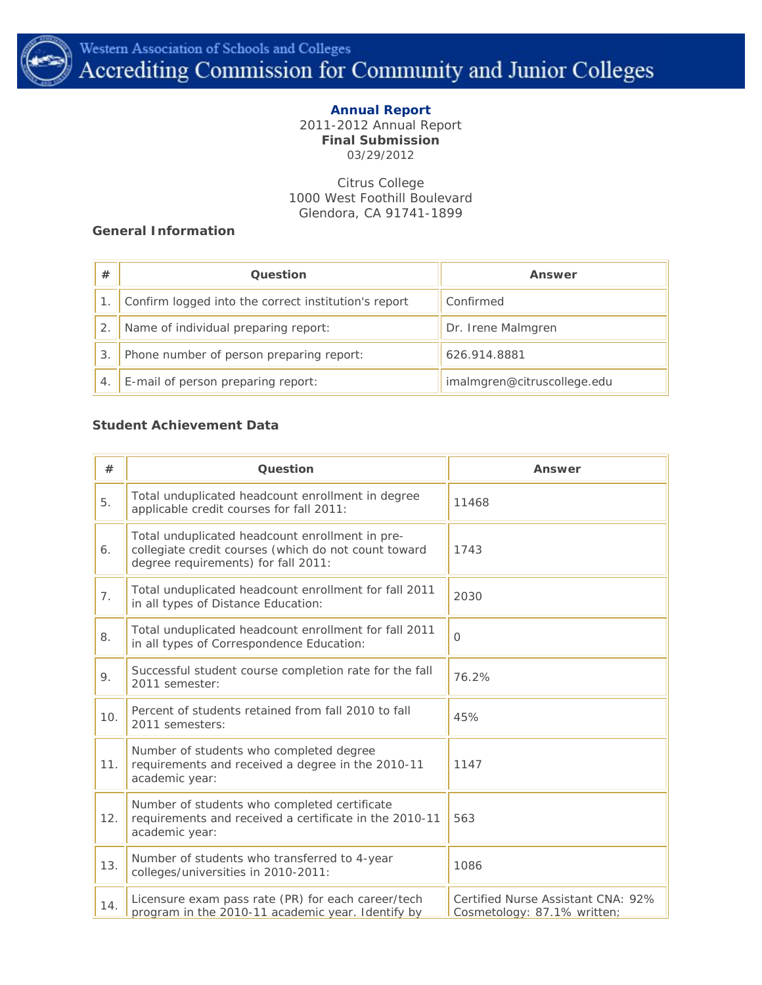

### **Annual Report** 2011-2012 Annual Report **Final Submission** 03/29/2012

Citrus College 1000 West Foothill Boulevard Glendora, CA 91741-1899

## **General Information**

| #  | <b>Ouestion</b>                                      | Answer                      |
|----|------------------------------------------------------|-----------------------------|
|    | Confirm logged into the correct institution's report | Confirmed                   |
|    | Name of individual preparing report:                 | Dr. Irene Malmgren          |
| 3. | Phone number of person preparing report:             | 626.914.8881                |
|    | E-mail of person preparing report:                   | imalmgren@citruscollege.edu |

## **Student Achievement Data**

| #   | Question                                                                                                                                       | Answer                                                            |
|-----|------------------------------------------------------------------------------------------------------------------------------------------------|-------------------------------------------------------------------|
| 5.  | Total unduplicated headcount enrollment in degree<br>applicable credit courses for fall 2011:                                                  | 11468                                                             |
| 6.  | Total unduplicated headcount enrollment in pre-<br>collegiate credit courses (which do not count toward<br>degree requirements) for fall 2011: | 1743                                                              |
| 7.  | Total unduplicated headcount enrollment for fall 2011<br>in all types of Distance Education:                                                   | 2030                                                              |
| 8.  | Total unduplicated headcount enrollment for fall 2011<br>in all types of Correspondence Education:                                             | $\Omega$                                                          |
| 9.  | Successful student course completion rate for the fall<br>2011 semester:                                                                       | 76.2%                                                             |
| 10. | Percent of students retained from fall 2010 to fall<br>2011 semesters:                                                                         | 45%                                                               |
| 11. | Number of students who completed degree<br>requirements and received a degree in the 2010-11<br>academic year:                                 | 1147                                                              |
| 12. | Number of students who completed certificate<br>requirements and received a certificate in the 2010-11<br>academic year:                       | 563                                                               |
| 13. | Number of students who transferred to 4-year<br>colleges/universities in 2010-2011:                                                            | 1086                                                              |
| 14. | Licensure exam pass rate (PR) for each career/tech<br>program in the 2010-11 academic year. Identify by                                        | Certified Nurse Assistant CNA: 92%<br>Cosmetology: 87.1% written: |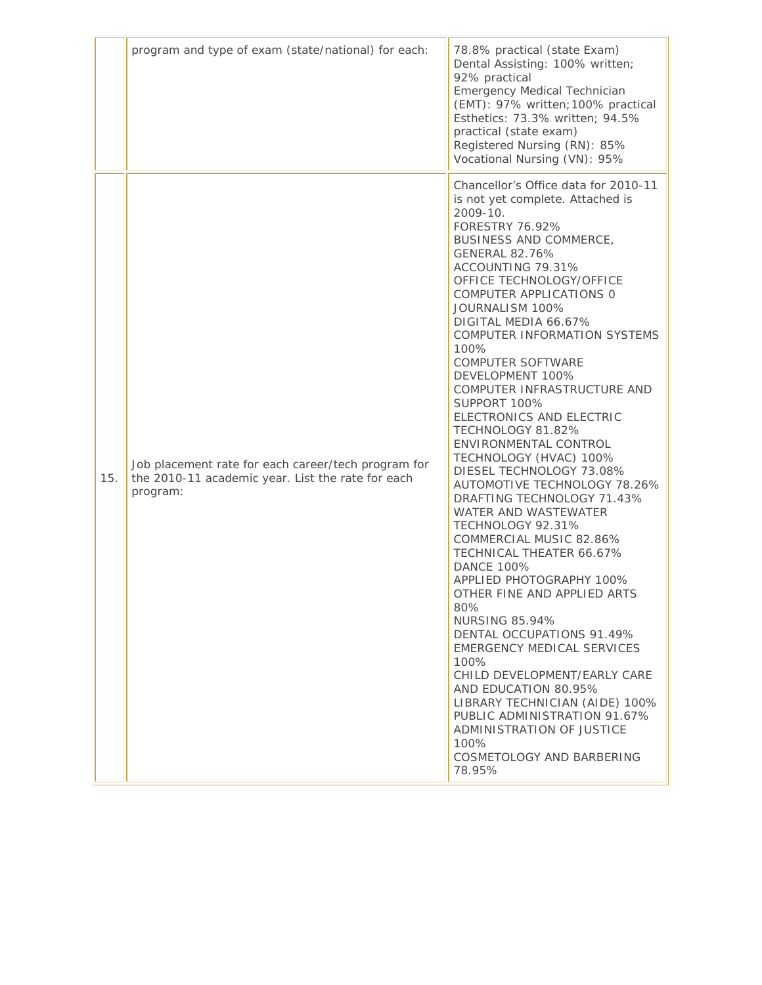|     | program and type of exam (state/national) for each:                                                                  | 78.8% practical (state Exam)<br>Dental Assisting: 100% written;<br>92% practical<br><b>Emergency Medical Technician</b><br>(EMT): 97% written; 100% practical<br>Esthetics: 73.3% written; 94.5%<br>practical (state exam)<br>Registered Nursing (RN): 85%<br>Vocational Nursing (VN): 95%                                                                                                                                                                                                                                                                                                                                                                                                                                                                                                                                                                                                                                                                                                                                                                                                                                                  |
|-----|----------------------------------------------------------------------------------------------------------------------|---------------------------------------------------------------------------------------------------------------------------------------------------------------------------------------------------------------------------------------------------------------------------------------------------------------------------------------------------------------------------------------------------------------------------------------------------------------------------------------------------------------------------------------------------------------------------------------------------------------------------------------------------------------------------------------------------------------------------------------------------------------------------------------------------------------------------------------------------------------------------------------------------------------------------------------------------------------------------------------------------------------------------------------------------------------------------------------------------------------------------------------------|
| 15. | Job placement rate for each career/tech program for<br>the 2010-11 academic year. List the rate for each<br>program: | Chancellor's Office data for 2010-11<br>is not yet complete. Attached is<br>2009-10.<br><b>FORESTRY 76.92%</b><br>BUSINESS AND COMMERCE,<br><b>GENERAL 82.76%</b><br>ACCOUNTING 79.31%<br>OFFICE TECHNOLOGY/OFFICE<br>COMPUTER APPLICATIONS 0<br>JOURNALISM 100%<br>DIGITAL MEDIA 66.67%<br>COMPUTER INFORMATION SYSTEMS<br>100%<br><b>COMPUTER SOFTWARE</b><br>DEVELOPMENT 100%<br>COMPUTER INFRASTRUCTURE AND<br>SUPPORT 100%<br>ELECTRONICS AND ELECTRIC<br>TECHNOLOGY 81.82%<br>ENVIRONMENTAL CONTROL<br>TECHNOLOGY (HVAC) 100%<br>DIESEL TECHNOLOGY 73.08%<br>AUTOMOTIVE TECHNOLOGY 78.26%<br>DRAFTING TECHNOLOGY 71.43%<br><b>WATER AND WASTEWATER</b><br>TECHNOLOGY 92.31%<br>COMMERCIAL MUSIC 82.86%<br><b>TECHNICAL THEATER 66.67%</b><br><b>DANCE 100%</b><br>APPLIED PHOTOGRAPHY 100%<br>OTHER FINE AND APPLIED ARTS<br>$80\%$<br><b>NURSING 85.94%</b><br>DENTAL OCCUPATIONS 91.49%<br>EMERGENCY MEDICAL SERVICES<br>100%<br>CHILD DEVELOPMENT/EARLY CARE<br>AND EDUCATION 80.95%<br>LIBRARY TECHNICIAN (AIDE) 100%<br>PUBLIC ADMINISTRATION 91.67%<br>ADMINISTRATION OF JUSTICE<br>100%<br>COSMETOLOGY AND BARBERING<br>78.95% |